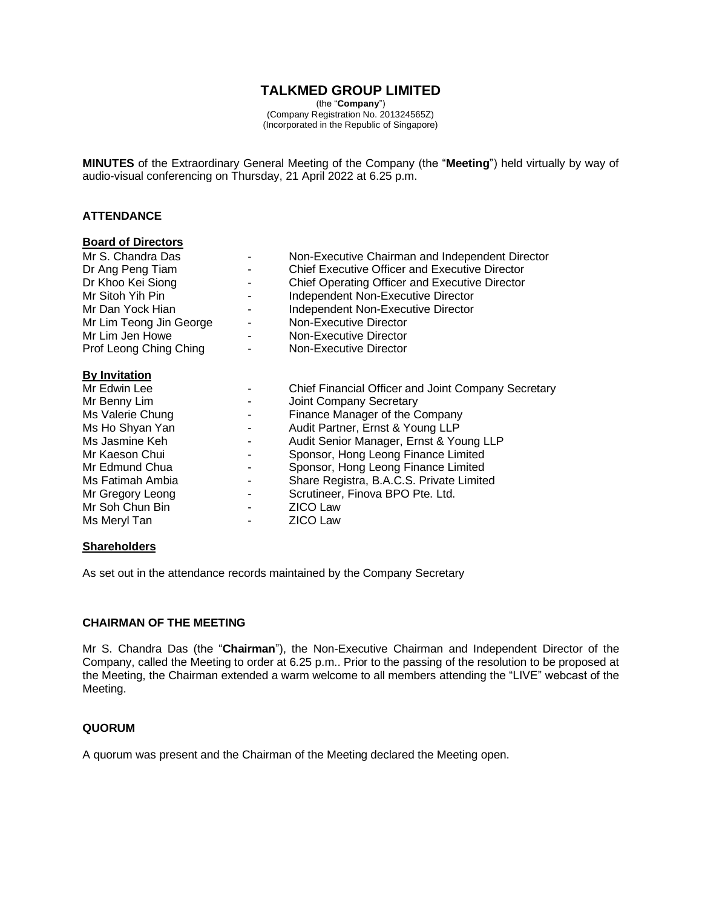# **TALKMED GROUP LIMITED**

(the "**Company**") (Company Registration No. 201324565Z) (Incorporated in the Republic of Singapore)

**MINUTES** of the Extraordinary General Meeting of the Company (the "**Meeting**") held virtually by way of audio-visual conferencing on Thursday, 21 April 2022 at 6.25 p.m.

## **ATTENDANCE**

#### **Board of Directors**

| Mr S. Chandra Das<br>Dr Ang Peng Tiam<br>Dr Khoo Kei Siong |        | Non-Executive Chairman and Independent Director<br><b>Chief Executive Officer and Executive Director</b><br>Chief Operating Officer and Executive Director |
|------------------------------------------------------------|--------|------------------------------------------------------------------------------------------------------------------------------------------------------------|
| Mr Sitoh Yih Pin                                           |        | Independent Non-Executive Director                                                                                                                         |
| Mr Dan Yock Hian                                           |        | Independent Non-Executive Director                                                                                                                         |
| Mr Lim Teong Jin George                                    |        | Non-Executive Director                                                                                                                                     |
| Mr Lim Jen Howe                                            | $\sim$ | Non-Executive Director                                                                                                                                     |
| Prof Leong Ching Ching                                     |        | Non-Executive Director                                                                                                                                     |
| <b>By Invitation</b>                                       |        |                                                                                                                                                            |
| Mr Edwin Lee                                               |        | Chief Financial Officer and Joint Company Secretary                                                                                                        |
| Mr Benny Lim                                               |        | <b>Joint Company Secretary</b>                                                                                                                             |
| Ms Valerie Chung                                           |        | Finance Manager of the Company                                                                                                                             |
| Ms Ho Shyan Yan                                            |        | Audit Partner, Ernst & Young LLP                                                                                                                           |
| Ms Jasmine Keh                                             |        | Audit Senior Manager, Ernst & Young LLP                                                                                                                    |
| Mr Kaeson Chui                                             |        | Sponsor, Hong Leong Finance Limited                                                                                                                        |
| Mr Edmund Chua                                             |        | Sponsor, Hong Leong Finance Limited                                                                                                                        |
| Ms Fatimah Ambia                                           |        | Share Registra, B.A.C.S. Private Limited                                                                                                                   |
| Mr Gregory Leong                                           |        | Scrutineer, Finova BPO Pte. Ltd.                                                                                                                           |
| Mr Soh Chun Bin                                            |        | <b>ZICO Law</b>                                                                                                                                            |
| Ms Meryl Tan                                               |        | <b>ZICO Law</b>                                                                                                                                            |
|                                                            |        |                                                                                                                                                            |

#### **Shareholders**

As set out in the attendance records maintained by the Company Secretary

#### **CHAIRMAN OF THE MEETING**

Mr S. Chandra Das (the "**Chairman**"), the Non-Executive Chairman and Independent Director of the Company, called the Meeting to order at 6.25 p.m.. Prior to the passing of the resolution to be proposed at the Meeting, the Chairman extended a warm welcome to all members attending the "LIVE" webcast of the Meeting.

### **QUORUM**

A quorum was present and the Chairman of the Meeting declared the Meeting open.